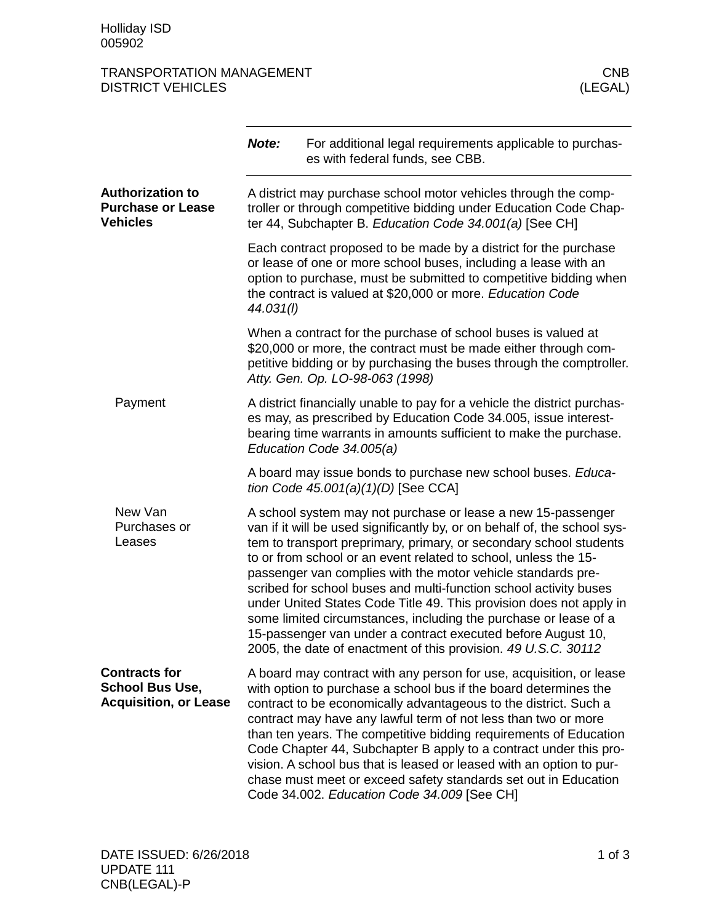## TRANSPORTATION MANAGEMENT<br>DISTRICT VEHICLES (LEGAL) **DISTRICT VEHICLES**

|                                                                                | Note:     | For additional legal requirements applicable to purchas-<br>es with federal funds, see CBB.                                                                                                                                                                                                                                                                                                                                                                                                                                                                                                                                                                                                          |
|--------------------------------------------------------------------------------|-----------|------------------------------------------------------------------------------------------------------------------------------------------------------------------------------------------------------------------------------------------------------------------------------------------------------------------------------------------------------------------------------------------------------------------------------------------------------------------------------------------------------------------------------------------------------------------------------------------------------------------------------------------------------------------------------------------------------|
| <b>Authorization to</b><br><b>Purchase or Lease</b><br><b>Vehicles</b>         |           | A district may purchase school motor vehicles through the comp-<br>troller or through competitive bidding under Education Code Chap-<br>ter 44, Subchapter B. Education Code 34.001(a) [See CH]                                                                                                                                                                                                                                                                                                                                                                                                                                                                                                      |
|                                                                                | 44.031(I) | Each contract proposed to be made by a district for the purchase<br>or lease of one or more school buses, including a lease with an<br>option to purchase, must be submitted to competitive bidding when<br>the contract is valued at \$20,000 or more. Education Code                                                                                                                                                                                                                                                                                                                                                                                                                               |
|                                                                                |           | When a contract for the purchase of school buses is valued at<br>\$20,000 or more, the contract must be made either through com-<br>petitive bidding or by purchasing the buses through the comptroller.<br>Atty. Gen. Op. LO-98-063 (1998)                                                                                                                                                                                                                                                                                                                                                                                                                                                          |
| Payment                                                                        |           | A district financially unable to pay for a vehicle the district purchas-<br>es may, as prescribed by Education Code 34.005, issue interest-<br>bearing time warrants in amounts sufficient to make the purchase.<br>Education Code 34.005(a)                                                                                                                                                                                                                                                                                                                                                                                                                                                         |
|                                                                                |           | A board may issue bonds to purchase new school buses. Educa-<br>tion Code 45.001(a)(1)(D) [See CCA]                                                                                                                                                                                                                                                                                                                                                                                                                                                                                                                                                                                                  |
| New Van<br>Purchases or<br>Leases                                              |           | A school system may not purchase or lease a new 15-passenger<br>van if it will be used significantly by, or on behalf of, the school sys-<br>tem to transport preprimary, primary, or secondary school students<br>to or from school or an event related to school, unless the 15-<br>passenger van complies with the motor vehicle standards pre-<br>scribed for school buses and multi-function school activity buses<br>under United States Code Title 49. This provision does not apply in<br>some limited circumstances, including the purchase or lease of a<br>15-passenger van under a contract executed before August 10,<br>2005, the date of enactment of this provision. 49 U.S.C. 30112 |
| <b>Contracts for</b><br><b>School Bus Use,</b><br><b>Acquisition, or Lease</b> |           | A board may contract with any person for use, acquisition, or lease<br>with option to purchase a school bus if the board determines the<br>contract to be economically advantageous to the district. Such a<br>contract may have any lawful term of not less than two or more<br>than ten years. The competitive bidding requirements of Education<br>Code Chapter 44, Subchapter B apply to a contract under this pro-<br>vision. A school bus that is leased or leased with an option to pur-<br>chase must meet or exceed safety standards set out in Education<br>Code 34.002. Education Code 34.009 [See CH]                                                                                    |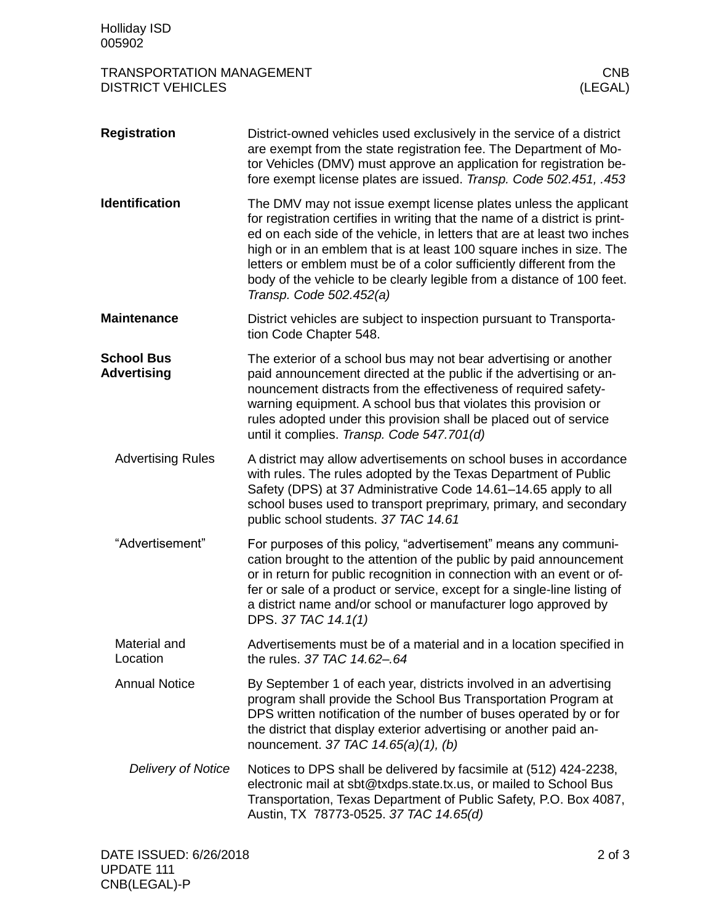| 005902                                                |                                                                                                                                                                                                                                                                                                                                                                                                                                                                                 |
|-------------------------------------------------------|---------------------------------------------------------------------------------------------------------------------------------------------------------------------------------------------------------------------------------------------------------------------------------------------------------------------------------------------------------------------------------------------------------------------------------------------------------------------------------|
| TRANSPORTATION MANAGEMENT<br><b>DISTRICT VEHICLES</b> | <b>CNB</b><br>(LEGAL)                                                                                                                                                                                                                                                                                                                                                                                                                                                           |
| <b>Registration</b>                                   | District-owned vehicles used exclusively in the service of a district<br>are exempt from the state registration fee. The Department of Mo-<br>tor Vehicles (DMV) must approve an application for registration be-<br>fore exempt license plates are issued. Transp. Code 502.451, .453                                                                                                                                                                                          |
| <b>Identification</b>                                 | The DMV may not issue exempt license plates unless the applicant<br>for registration certifies in writing that the name of a district is print-<br>ed on each side of the vehicle, in letters that are at least two inches<br>high or in an emblem that is at least 100 square inches in size. The<br>letters or emblem must be of a color sufficiently different from the<br>body of the vehicle to be clearly legible from a distance of 100 feet.<br>Transp. Code 502.452(a) |
| <b>Maintenance</b>                                    | District vehicles are subject to inspection pursuant to Transporta-<br>tion Code Chapter 548.                                                                                                                                                                                                                                                                                                                                                                                   |
| <b>School Bus</b><br><b>Advertising</b>               | The exterior of a school bus may not bear advertising or another<br>paid announcement directed at the public if the advertising or an-<br>nouncement distracts from the effectiveness of required safety-<br>warning equipment. A school bus that violates this provision or<br>rules adopted under this provision shall be placed out of service<br>until it complies. Transp. Code 547.701(d)                                                                                 |
| <b>Advertising Rules</b>                              | A district may allow advertisements on school buses in accordance<br>with rules. The rules adopted by the Texas Department of Public<br>Safety (DPS) at 37 Administrative Code 14.61-14.65 apply to all<br>school buses used to transport preprimary, primary, and secondary<br>public school students. 37 TAC 14.61                                                                                                                                                            |
| "Advertisement"                                       | For purposes of this policy, "advertisement" means any communi-<br>cation brought to the attention of the public by paid announcement<br>or in return for public recognition in connection with an event or of-<br>fer or sale of a product or service, except for a single-line listing of<br>a district name and/or school or manufacturer logo approved by<br>DPS. 37 TAC 14.1(1)                                                                                            |
| Material and<br>Location                              | Advertisements must be of a material and in a location specified in<br>the rules, 37 TAC 14.62-.64                                                                                                                                                                                                                                                                                                                                                                              |
| <b>Annual Notice</b>                                  | By September 1 of each year, districts involved in an advertising<br>program shall provide the School Bus Transportation Program at<br>DPS written notification of the number of buses operated by or for                                                                                                                                                                                                                                                                       |

Notices to DPS shall be delivered by facsimile at (512) 424-2238, electronic mail at sbt@txdps.state.tx.us, or mailed to School Bus Transportation, Texas Department of Public Safety, P.O. Box 4087, Austin, TX 78773-0525. *37 TAC 14.65(d) Delivery of Notice*

nouncement. *37 TAC 14.65(a)(1), (b)*

the district that display exterior advertising or another paid an-